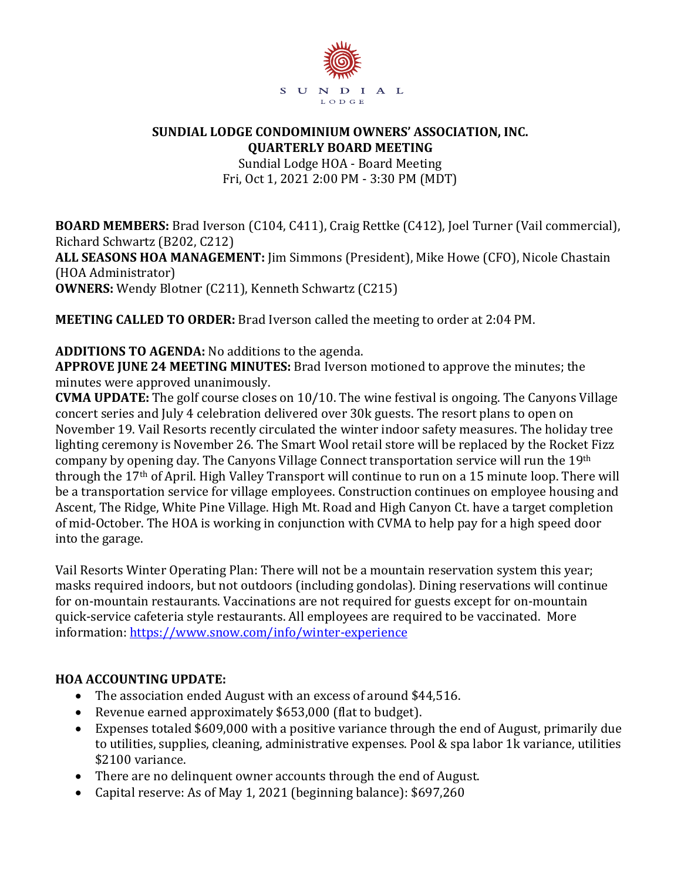

#### **SUNDIAL LODGE CONDOMINIUM OWNERS' ASSOCIATION, INC. QUARTERLY BOARD MEETING**

Sundial Lodge HOA - Board Meeting Fri, Oct 1, 2021 2:00 PM - 3:30 PM (MDT)

**BOARD MEMBERS:** Brad Iverson (C104, C411), Craig Rettke (C412), Joel Turner (Vail commercial), Richard Schwartz (B202, C212) **ALL SEASONS HOA MANAGEMENT:** Jim Simmons (President), Mike Howe (CFO), Nicole Chastain (HOA Administrator) **OWNERS:** Wendy Blotner (C211), Kenneth Schwartz (C215)

**MEETING CALLED TO ORDER:** Brad Iverson called the meeting to order at 2:04 PM.

**ADDITIONS TO AGENDA:** No additions to the agenda.

**APPROVE JUNE 24 MEETING MINUTES:** Brad Iverson motioned to approve the minutes; the minutes were approved unanimously.

**CVMA UPDATE:** The golf course closes on 10/10. The wine festival is ongoing. The Canyons Village concert series and July 4 celebration delivered over 30k guests. The resort plans to open on November 19. Vail Resorts recently circulated the winter indoor safety measures. The holiday tree lighting ceremony is November 26. The Smart Wool retail store will be replaced by the Rocket Fizz company by opening day. The Canyons Village Connect transportation service will run the 19th through the 17th of April. High Valley Transport will continue to run on a 15 minute loop. There will be a transportation service for village employees. Construction continues on employee housing and Ascent, The Ridge, White Pine Village. High Mt. Road and High Canyon Ct. have a target completion of mid-October. The HOA is working in conjunction with CVMA to help pay for a high speed door into the garage.

Vail Resorts Winter Operating Plan: There will not be a mountain reservation system this year; masks required indoors, but not outdoors (including gondolas). Dining reservations will continue for on-mountain restaurants. Vaccinations are not required for guests except for on-mountain quick-service cafeteria style restaurants. All employees are required to be vaccinated. More information:<https://www.snow.com/info/winter-experience>

### **HOA ACCOUNTING UPDATE:**

- The association ended August with an excess of around \$44,516.
- Revenue earned approximately \$653,000 (flat to budget).
- Expenses totaled \$609,000 with a positive variance through the end of August, primarily due to utilities, supplies, cleaning, administrative expenses. Pool & spa labor 1k variance, utilities \$2100 variance.
- There are no delinquent owner accounts through the end of August.
- Capital reserve: As of May 1, 2021 (beginning balance): \$697,260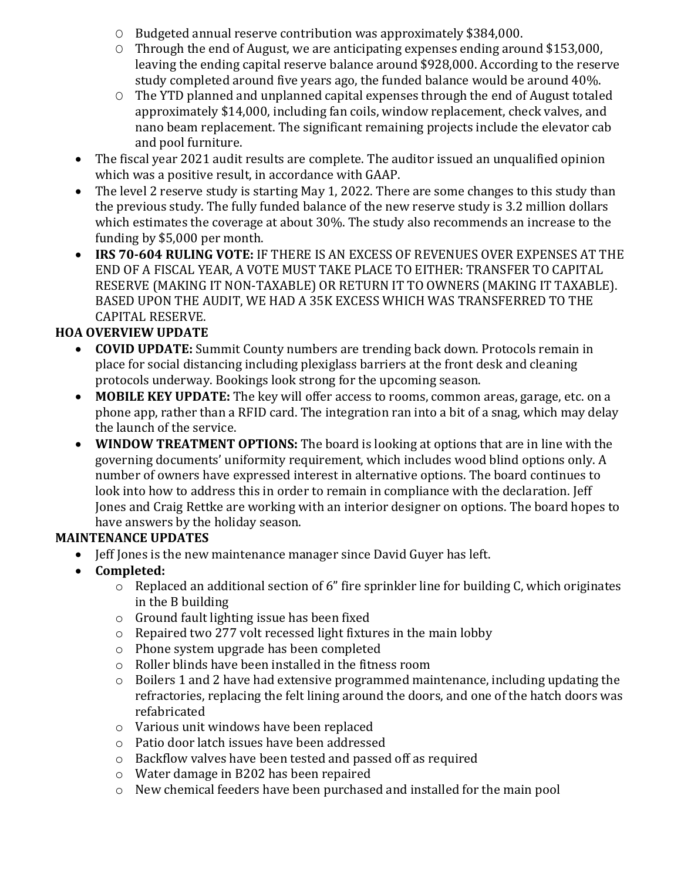- O Budgeted annual reserve contribution was approximately \$384,000.
- O Through the end of August, we are anticipating expenses ending around \$153,000, leaving the ending capital reserve balance around \$928,000. According to the reserve study completed around five years ago, the funded balance would be around 40%.
- O The YTD planned and unplanned capital expenses through the end of August totaled approximately \$14,000, including fan coils, window replacement, check valves, and nano beam replacement. The significant remaining projects include the elevator cab and pool furniture.
- The fiscal year 2021 audit results are complete. The auditor issued an unqualified opinion which was a positive result, in accordance with GAAP.
- The level 2 reserve study is starting May 1, 2022. There are some changes to this study than the previous study. The fully funded balance of the new reserve study is 3.2 million dollars which estimates the coverage at about 30%. The study also recommends an increase to the funding by \$5,000 per month.
- **IRS 70-604 RULING VOTE:** IF THERE IS AN EXCESS OF REVENUES OVER EXPENSES AT THE END OF A FISCAL YEAR, A VOTE MUST TAKE PLACE TO EITHER: TRANSFER TO CAPITAL RESERVE (MAKING IT NON-TAXABLE) OR RETURN IT TO OWNERS (MAKING IT TAXABLE). BASED UPON THE AUDIT, WE HAD A 35K EXCESS WHICH WAS TRANSFERRED TO THE CAPITAL RESERVE.

# **HOA OVERVIEW UPDATE**

- **COVID UPDATE:** Summit County numbers are trending back down. Protocols remain in place for social distancing including plexiglass barriers at the front desk and cleaning protocols underway. Bookings look strong for the upcoming season.
- **MOBILE KEY UPDATE:** The key will offer access to rooms, common areas, garage, etc. on a phone app, rather than a RFID card. The integration ran into a bit of a snag, which may delay the launch of the service.
- **WINDOW TREATMENT OPTIONS:** The board is looking at options that are in line with the governing documents' uniformity requirement, which includes wood blind options only. A number of owners have expressed interest in alternative options. The board continues to look into how to address this in order to remain in compliance with the declaration. Jeff Jones and Craig Rettke are working with an interior designer on options. The board hopes to have answers by the holiday season.

## **MAINTENANCE UPDATES**

- Jeff Jones is the new maintenance manager since David Guyer has left.
- **Completed:**
	- o Replaced an additional section of 6" fire sprinkler line for building C, which originates in the B building
	- o Ground fault lighting issue has been fixed
	- o Repaired two 277 volt recessed light fixtures in the main lobby
	- o Phone system upgrade has been completed
	- o Roller blinds have been installed in the fitness room
	- $\circ$  Boilers 1 and 2 have had extensive programmed maintenance, including updating the refractories, replacing the felt lining around the doors, and one of the hatch doors was refabricated
	- o Various unit windows have been replaced
	- o Patio door latch issues have been addressed
	- o Backflow valves have been tested and passed off as required
	- o Water damage in B202 has been repaired
	- o New chemical feeders have been purchased and installed for the main pool